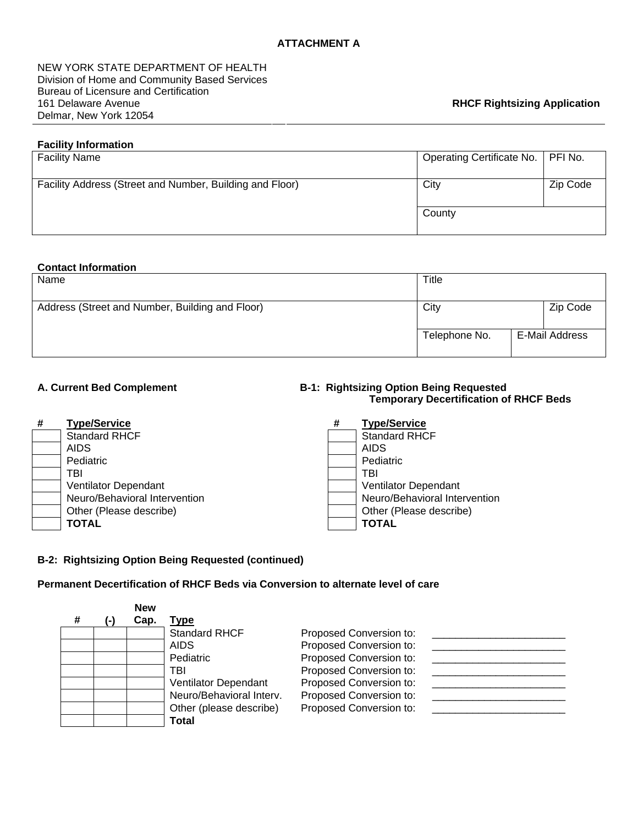NEW YORK STATE DEPARTMENT OF HEALTH Division of Home and Community Based Services Bureau of Licensure and Certification 161 Delaware Avenue Delmar, New York 12054

# **Facility Information**

| <b>Facility Name</b>                                     | Operating Certificate No.   PFI No. |          |
|----------------------------------------------------------|-------------------------------------|----------|
| Facility Address (Street and Number, Building and Floor) | City                                | Zip Code |
|                                                          | County                              |          |

# **Contact Information**

| Name                                            | Title         |  |                |
|-------------------------------------------------|---------------|--|----------------|
| Address (Street and Number, Building and Floor) | City          |  | Zip Code       |
|                                                 | Telephone No. |  | E-Mail Address |

#### A. Current Bed Complement **B-1: Rightsizing Option Being Requested Temporary Decertification of RHCF Beds**

| # | <b>Type/Service</b>           | # | <b>Type/Service</b>           |
|---|-------------------------------|---|-------------------------------|
|   | <b>Standard RHCF</b>          |   | <b>Standard RHCF</b>          |
|   | <b>AIDS</b>                   |   | <b>AIDS</b>                   |
|   | Pediatric                     |   | Pediatric                     |
|   | TBI                           |   | TBI                           |
|   | Ventilator Dependant          |   | Ventilator Dependant          |
|   | Neuro/Behavioral Intervention |   | Neuro/Behavioral Intervention |
|   | Other (Please describe)       |   | Other (Please describe)       |
|   | <b>TOTAL</b>                  |   | <b>TOTAL</b>                  |

## **B-2: Rightsizing Option Being Requested (continued)**

# **Permanent Decertification of RHCF Beds via Conversion to alternate level of care**

|   |    | <b>New</b> |                          |                         |  |
|---|----|------------|--------------------------|-------------------------|--|
| # | ь. | Cap.       | Type                     |                         |  |
|   |    |            | <b>Standard RHCF</b>     | Proposed Conversion to: |  |
|   |    |            | <b>AIDS</b>              | Proposed Conversion to: |  |
|   |    |            | Pediatric                | Proposed Conversion to: |  |
|   |    |            | TBI                      | Proposed Conversion to: |  |
|   |    |            | Ventilator Dependant     | Proposed Conversion to: |  |
|   |    |            | Neuro/Behavioral Interv. | Proposed Conversion to: |  |
|   |    |            | Other (please describe)  | Proposed Conversion to: |  |
|   |    |            | Total                    |                         |  |